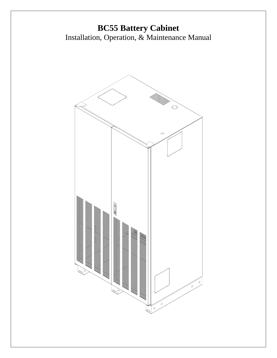# **BC55 Battery Cabinet** Installation, Operation, & Maintenance Manual

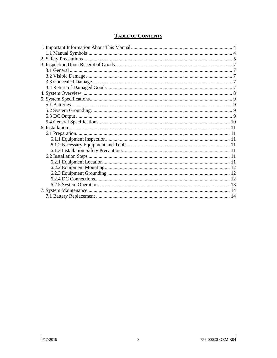# **TABLE OF CONTENTS**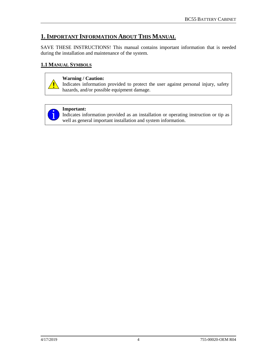# <span id="page-3-0"></span>**1.IMPORTANT INFORMATION ABOUT THIS MANUAL**

SAVE THESE INSTRUCTIONS! This manual contains important information that is needed during the installation and maintenance of the system.

# <span id="page-3-1"></span>**1.1 MANUAL SYMBOLS**



# **Warning / Caution:**

Indicates information provided to protect the user against personal injury, safety hazards, and/or possible equipment damage.



# **Important:**

Indicates information provided as an installation or operating instruction or tip as well as general important installation and system information.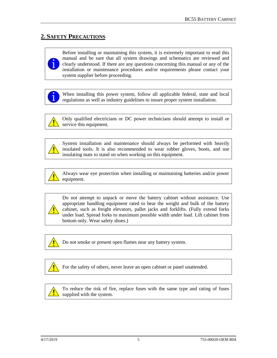# <span id="page-4-0"></span>**2. SAFETY PRECAUTIONS**



Before installing or maintaining this system, it is extremely important to read this manual and be sure that all system drawings and schematics are reviewed and clearly understood. If there are any questions concerning this manual or any of the installation or maintenance procedures and/or requirements please contact your system supplier before proceeding.

When installing this power system, follow all applicable federal, state and local regulations as well as industry guidelines to insure proper system installation.



Only qualified electricians or DC power technicians should attempt to install or service this equipment.



System installation and maintenance should always be performed with heavily insulated tools. It is also recommended to wear rubber gloves, boots, and use insulating mats to stand on when working on this equipment.



Always wear eye protection when installing or maintaining batteries and/or power equipment.



Do not attempt to unpack or move the battery cabinet without assistance. Use appropriate handling equipment rated to bear the weight and bulk of the battery cabinet, such as freight elevators, pallet jacks and forklifts. (Fully extend forks under load. Spread forks to maximum possible width under load. Lift cabinet from bottom only. Wear safety shoes.)



Do not smoke or present open flames near any battery system.



For the safety of others, never leave an open cabinet or panel unattended.



To reduce the risk of fire, replace fuses with the same type and rating of fuses supplied with the system.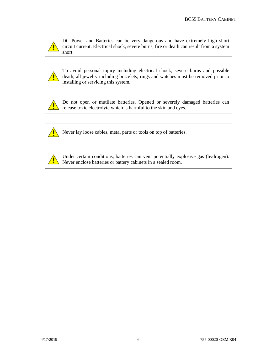

DC Power and Batteries can be very dangerous and have extremely high short circuit current. Electrical shock, severe burns, fire or death can result from a system short.



To avoid personal injury including electrical shock, severe burns and possible death, all jewelry including bracelets, rings and watches must be removed prior to installing or servicing this system.

Ţ

Do not open or mutilate batteries. Opened or severely damaged batteries can release toxic electrolyte which is harmful to the skin and eyes.



Never lay loose cables, metal parts or tools on top of batteries.



Under certain conditions, batteries can vent potentially explosive gas (hydrogen). Never enclose batteries or battery cabinets in a sealed room.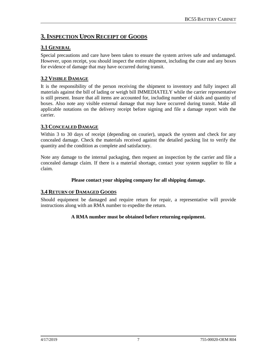# <span id="page-6-0"></span>**3.INSPECTION UPON RECEIPT OF GOODS**

# <span id="page-6-1"></span>**3.1 GENERAL**

Special precautions and care have been taken to ensure the system arrives safe and undamaged. However, upon receipt, you should inspect the entire shipment, including the crate and any boxes for evidence of damage that may have occurred during transit.

# <span id="page-6-2"></span>**3.2 VISIBLE DAMAGE**

It is the responsibility of the person receiving the shipment to inventory and fully inspect all materials against the bill of lading or weigh bill IMMEDIATELY while the carrier representative is still present. Insure that all items are accounted for, including number of skids and quantity of boxes. Also note any visible external damage that may have occurred during transit. Make all applicable notations on the delivery receipt before signing and file a damage report with the carrier.

# <span id="page-6-3"></span>**3.3 CONCEALED DAMAGE**

Within 3 to 30 days of receipt (depending on courier), unpack the system and check for any concealed damage. Check the materials received against the detailed packing list to verify the quantity and the condition as complete and satisfactory.

Note any damage to the internal packaging, then request an inspection by the carrier and file a concealed damage claim. If there is a material shortage, contact your system supplier to file a claim.

# **Please contact your shipping company for all shipping damage.**

# <span id="page-6-4"></span>**3.4 RETURN OF DAMAGED GOODS**

Should equipment be damaged and require return for repair, a representative will provide instructions along with an RMA number to expedite the return.

# **A RMA number must be obtained before returning equipment.**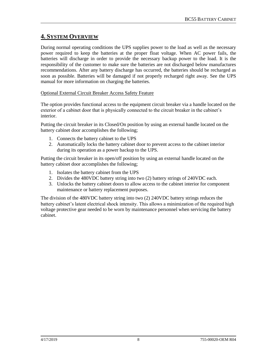# <span id="page-7-0"></span>**4. SYSTEM OVERVIEW**

During normal operating conditions the UPS supplies power to the load as well as the necessary power required to keep the batteries at the proper float voltage. When AC power fails, the batteries will discharge in order to provide the necessary backup power to the load. It is the responsibility of the customer to make sure the batteries are not discharged below manufactures recommendations. After any battery discharge has occurred, the batteries should be recharged as soon as possible. Batteries will be damaged if not properly recharged right away. See the UPS manual for more information on charging the batteries.

#### Optional External Circuit Breaker Access Safety Feature

The option provides functional access to the equipment circuit breaker via a handle located on the exterior of a cabinet door that is physically connected to the circuit breaker in the cabinet's interior.

Putting the circuit breaker in its Closed/On position by using an external handle located on the battery cabinet door accomplishes the following;

- 1. Connects the battery cabinet to the UPS
- 2. Automatically locks the battery cabinet door to prevent access to the cabinet interior during its operation as a power backup to the UPS.

Putting the circuit breaker in its open/off position by using an external handle located on the battery cabinet door accomplishes the following;

- 1. Isolates the battery cabinet from the UPS
- 2. Divides the 480VDC battery string into two (2) battery strings of 240VDC each.
- 3. Unlocks the battery cabinet doors to allow access to the cabinet interior for component maintenance or battery replacement purposes.

The division of the 480VDC battery string into two (2) 240VDC battery strings reduces the battery cabinet's latent electrical shock intensity. This allows a minimization of the required high voltage protective gear needed to be worn by maintenance personnel when servicing the battery cabinet.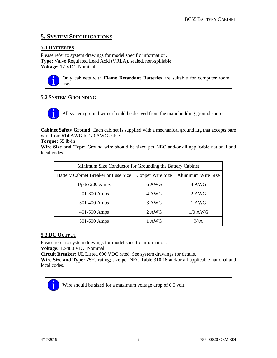# <span id="page-8-0"></span>**5. SYSTEM SPECIFICATIONS**

# <span id="page-8-1"></span>**5.1 BATTERIES**

Please refer to system drawings for model specific information. **Type:** Valve Regulated Lead Acid (VRLA), sealed, non-spillable **Voltage:** 12 VDC Nominal



Only cabinets with **Flame Retardant Batteries** are suitable for computer room use.

# <span id="page-8-2"></span>**5.2 SYSTEM GROUNDING**

All system ground wires should be derived from the main building ground source.

**Cabinet Safety Ground:** Each cabinet is supplied with a mechanical ground lug that accepts bare wire from #14 AWG to 1/0 AWG cable.

#### **Torque:** 55 lb-in

**Wire Size and Type:** Ground wire should be sized per NEC and/or all applicable national and local codes.

| Minimum Size Conductor for Grounding the Battery Cabinet |                  |                    |  |
|----------------------------------------------------------|------------------|--------------------|--|
| <b>Battery Cabinet Breaker or Fuse Size</b>              | Copper Wire Size | Aluminum Wire Size |  |
| Up to 200 Amps                                           | 6 AWG            | 4 AWG              |  |
| 201-300 Amps                                             | 4 AWG            | 2 AWG              |  |
| 301-400 Amps                                             | 3 AWG            | 1 AWG              |  |
| 401-500 Amps                                             | 2 AWG            | $1/0$ AWG          |  |
| 501-600 Amps                                             | 1 AWG            | N/A                |  |

# <span id="page-8-3"></span>**5.3 DC OUTPUT**

Please refer to system drawings for model specific information.

**Voltage:** 12-480 VDC Nominal

**Circuit Breaker:** UL Listed 600 VDC rated. See system drawings for details.

**Wire Size and Type:** 75°C rating; size per NEC Table 310.16 and/or all applicable national and local codes.



Wire should be sized for a maximum voltage drop of 0.5 volt.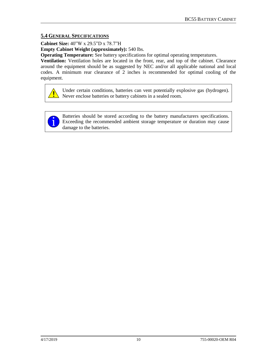# <span id="page-9-0"></span>**5.4 GENERAL SPECIFICATIONS**

**Cabinet Size:** 40"W x 29.5"D x 78.7"H

**Empty Cabinet Weight (approximately):** 540 lbs.

**Operating Temperature:** See battery specifications for optimal operating temperatures.

**Ventilation:** Ventilation holes are located in the front, rear, and top of the cabinet. Clearance around the equipment should be as suggested by NEC and/or all applicable national and local codes. A minimum rear clearance of 2 inches is recommended for optimal cooling of the equipment.



Under certain conditions, batteries can vent potentially explosive gas (hydrogen). Never enclose batteries or battery cabinets in a sealed room.



Batteries should be stored according to the battery manufacturers specifications. Exceeding the recommended ambient storage temperature or duration may cause damage to the batteries.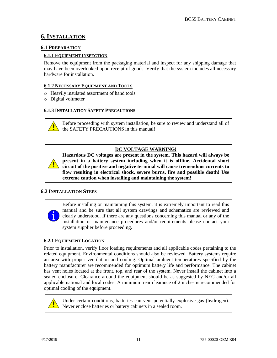# <span id="page-10-0"></span>**6.INSTALLATION**

# <span id="page-10-1"></span>**6.1 PREPARATION**

#### <span id="page-10-2"></span>**6.1.1 EQUIPMENT INSPECTION**

Remove the equipment from the packaging material and inspect for any shipping damage that may have been overlooked upon receipt of goods. Verify that the system includes all necessary hardware for installation.

#### <span id="page-10-3"></span>**6.1.2 NECESSARY EQUIPMENT AND TOOLS**

- o Heavily insulated assortment of hand tools
- o Digital voltmeter

# <span id="page-10-4"></span>**6.1.3 INSTALLATION SAFETY PRECAUTIONS**

Before proceeding with system installation, be sure to review and understand all of the SAFETY PRECAUTIONS in this manual!

# **DC VOLTAGE WARNING!**

**Hazardous DC voltages are present in the system. This hazard will always be present in a battery system including when it is offline. Accidental short circuit of the positive and negative terminal will cause tremendous currents to flow resulting in electrical shock, severe burns, fire and possible death! Use extreme caution when installing and maintaining the system!**

# <span id="page-10-5"></span>**6.2 INSTALLATION STEPS**

Before installing or maintaining this system, it is extremely important to read this manual and be sure that all system drawings and schematics are reviewed and clearly understood. If there are any questions concerning this manual or any of the installation or maintenance procedures and/or requirements please contact your system supplier before proceeding.

# <span id="page-10-6"></span>**6.2.1 EQUIPMENT LOCATION**

Prior to installation, verify floor loading requirements and all applicable codes pertaining to the related equipment. Environmental conditions should also be reviewed. Battery systems require an area with proper ventilation and cooling. Optimal ambient temperatures specified by the battery manufacturer are recommended for optimum battery life and performance. The cabinet has vent holes located at the front, top, and rear of the system. Never install the cabinet into a sealed enclosure. Clearance around the equipment should be as suggested by NEC and/or all applicable national and local codes. A minimum rear clearance of 2 inches is recommended for optimal cooling of the equipment.



Under certain conditions, batteries can vent potentially explosive gas (hydrogen). Never enclose batteries or battery cabinets in a sealed room.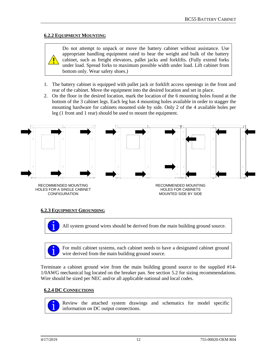# <span id="page-11-0"></span>**6.2.2 EQUIPMENT MOUNTING**

Do not attempt to unpack or move the battery cabinet without assistance. Use appropriate handling equipment rated to bear the weight and bulk of the battery cabinet, such as freight elevators, pallet jacks and forklifts. (Fully extend forks under load. Spread forks to maximum possible width under load. Lift cabinet from bottom only. Wear safety shoes.)

- 1. The battery cabinet is equipped with pallet jack or forklift access openings in the front and rear of the cabinet. Move the equipment into the desired location and set in place.
- 2. On the floor in the desired location, mark the location of the 6 mounting holes found at the bottom of the 3 cabinet legs. Each leg has 4 mounting holes available in order to stagger the mounting hardware for cabinets mounted side by side. Only 2 of the 4 available holes per leg (1 front and 1 rear) should be used to mount the equipment.



CONFIGURATION

HOLES FOR CABINETS MOUNTED SIDE BY SIDE

# <span id="page-11-1"></span>**6.2.3 EQUIPMENT GROUNDING**

All system ground wires should be derived from the main building ground source.

For multi cabinet systems, each cabinet needs to have a designated cabinet ground wire derived from the main building ground source.

Terminate a cabinet ground wire from the main building ground source to the supplied #14- 1/0AWG mechanical lug located on the breaker pan. See section 5.2 for sizing recommendations. Wire should be sized per NEC and/or all applicable national and local codes.

# <span id="page-11-2"></span>**6.2.4 DC CONNECTIONS**



Review the attached system drawings and schematics for model specific information on DC output connections.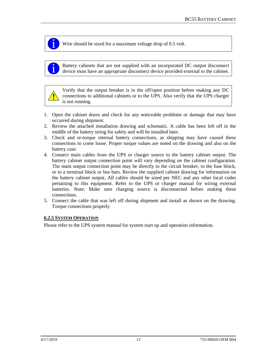Wire should be sized for a maximum voltage drop of 0.5 volt.

Battery cabinets that are not supplied with an incorporated DC output disconnect device must have an appropriate disconnect device provided external to the cabinet.



Verify that the output breaker is in the off/open position before making any DC connections to additional cabinets or to the UPS. Also verify that the UPS charger is not running.

- 1. Open the cabinet doors and check for any noticeable problems or damage that may have occurred during shipment.
- 2. Review the attached installation drawing and schematic. A cable has been left off in the middle of the battery string for safety and will be installed later.
- 3. Check and re-torque internal battery connections, as shipping may have caused these connections to come loose. Proper torque values are noted on the drawing and also on the battery case.
- 4. Connect main cables from the UPS or charger source to the battery cabinet output. The battery cabinet output connection point will vary depending on the cabinet configuration. The main output connection point may be directly to the circuit breaker, to the fuse block, or to a terminal block or bus bars. Review the supplied cabinet drawing for information on the battery cabinet output. All cables should be sized per NEC and any other local codes pertaining to this equipment. Refer to the UPS or charger manual for wiring external batteries. Note: Make sure charging source is disconnected before making these connections.
- 5. Connect the cable that was left off during shipment and install as shown on the drawing. Torque connections properly.

# <span id="page-12-0"></span>**6.2.5 SYSTEM OPERATION**

Please refer to the UPS system manual for system start up and operation information.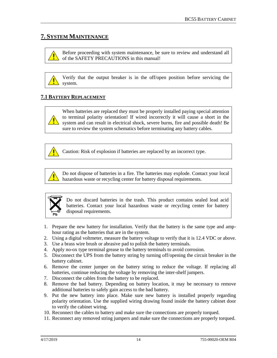# <span id="page-13-0"></span>**7. SYSTEM MAINTENANCE**

Before proceeding with system maintenance, be sure to review and understand all of the SAFETY PRECAUTIONS in this manual!

Verify that the output breaker is in the off/open position before servicing the system.

# <span id="page-13-1"></span>**7.1 BATTERY REPLACEMENT**



When batteries are replaced they must be properly installed paying special attention to terminal polarity orientation! If wired incorrectly it will cause a short in the system and can result in electrical shock, severe burns, fire and possible death! Be sure to review the system schematics before terminating any battery cables.



Caution: Risk of explosion if batteries are replaced by an incorrect type.



Do not dispose of batteries in a fire. The batteries may explode. Contact your local hazardous waste or recycling center for battery disposal requirements.



Do not discard batteries in the trash. This product contains sealed lead acid batteries. Contact your local hazardous waste or recycling center for battery disposal requirements.

- 1. Prepare the new battery for installation. Verify that the battery is the same type and amphour rating as the batteries that are in the system.
- 2. Using a digital voltmeter, measure the battery voltage to verify that it is 12.4 VDC or above.
- 3. Use a brass wire brush or abrasive pad to polish the battery terminals.
- 4. Apply no-ox type terminal grease to the battery terminals to avoid corrosion.
- 5. Disconnect the UPS from the battery string by turning off/opening the circuit breaker in the battery cabinet.
- 6. Remove the center jumper on the battery string to reduce the voltage. If replacing all batteries, continue reducing the voltage by removing the inter-shelf jumpers.
- 7. Disconnect the cables from the battery to be replaced.
- 8. Remove the bad battery. Depending on battery location, it may be necessary to remove additional batteries to safely gain access to the bad battery.
- 9. Put the new battery into place. Make sure new battery is installed properly regarding polarity orientation. Use the supplied wiring drawing found inside the battery cabinet door to verify the cabinet wiring.
- 10. Reconnect the cables to battery and make sure the connections are properly torqued.
- 11. Reconnect any removed string jumpers and make sure the connections are properly torqued.